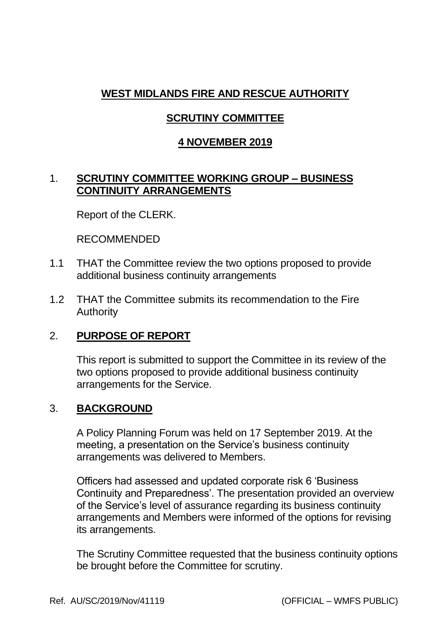# **WEST MIDLANDS FIRE AND RESCUE AUTHORITY**

# **SCRUTINY COMMITTEE**

#### **4 NOVEMBER 2019**

### 1. **SCRUTINY COMMITTEE WORKING GROUP – BUSINESS CONTINUITY ARRANGEMENTS**

Report of the CLERK.

RECOMMENDED

- 1.1 THAT the Committee review the two options proposed to provide additional business continuity arrangements
- 1.2 THAT the Committee submits its recommendation to the Fire Authority

## 2. **PURPOSE OF REPORT**

This report is submitted to support the Committee in its review of the two options proposed to provide additional business continuity arrangements for the Service.

#### 3. **BACKGROUND**

A Policy Planning Forum was held on 17 September 2019. At the meeting, a presentation on the Service's business continuity arrangements was delivered to Members.

Officers had assessed and updated corporate risk 6 'Business Continuity and Preparedness'. The presentation provided an overview of the Service's level of assurance regarding its business continuity arrangements and Members were informed of the options for revising its arrangements.

The Scrutiny Committee requested that the business continuity options be brought before the Committee for scrutiny.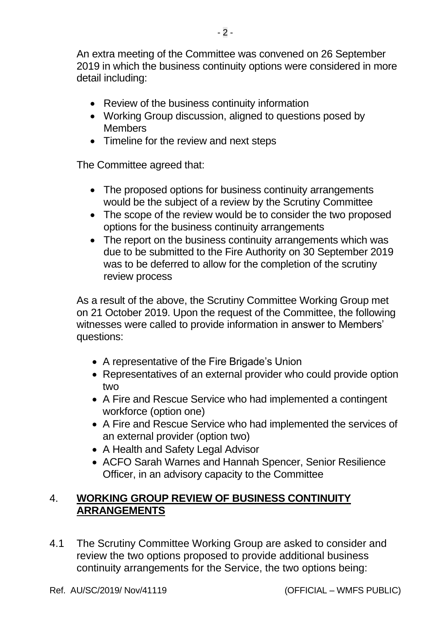An extra meeting of the Committee was convened on 26 September 2019 in which the business continuity options were considered in more detail including:

- Review of the business continuity information
- Working Group discussion, aligned to questions posed by **Members**
- Timeline for the review and next steps

The Committee agreed that:

- The proposed options for business continuity arrangements would be the subject of a review by the Scrutiny Committee
- The scope of the review would be to consider the two proposed options for the business continuity arrangements
- The report on the business continuity arrangements which was due to be submitted to the Fire Authority on 30 September 2019 was to be deferred to allow for the completion of the scrutiny review process

As a result of the above, the Scrutiny Committee Working Group met on 21 October 2019. Upon the request of the Committee, the following witnesses were called to provide information in answer to Members' questions:

- A representative of the Fire Brigade's Union
- Representatives of an external provider who could provide option two
- A Fire and Rescue Service who had implemented a contingent workforce (option one)
- A Fire and Rescue Service who had implemented the services of an external provider (option two)
- A Health and Safety Legal Advisor
- ACFO Sarah Warnes and Hannah Spencer, Senior Resilience Officer, in an advisory capacity to the Committee

### 4. **WORKING GROUP REVIEW OF BUSINESS CONTINUITY ARRANGEMENTS**

4.1 The Scrutiny Committee Working Group are asked to consider and review the two options proposed to provide additional business continuity arrangements for the Service, the two options being: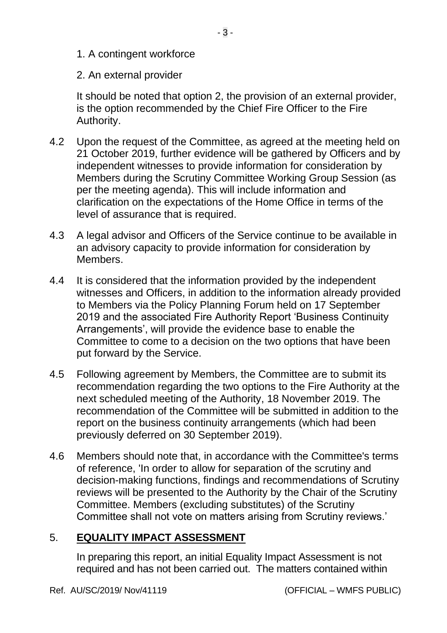- 1. A contingent workforce
- 2. An external provider

It should be noted that option 2, the provision of an external provider, is the option recommended by the Chief Fire Officer to the Fire Authority.

- 4.2 Upon the request of the Committee, as agreed at the meeting held on 21 October 2019, further evidence will be gathered by Officers and by independent witnesses to provide information for consideration by Members during the Scrutiny Committee Working Group Session (as per the meeting agenda). This will include information and clarification on the expectations of the Home Office in terms of the level of assurance that is required.
- 4.3 A legal advisor and Officers of the Service continue to be available in an advisory capacity to provide information for consideration by Members.
- 4.4 It is considered that the information provided by the independent witnesses and Officers, in addition to the information already provided to Members via the Policy Planning Forum held on 17 September 2019 and the associated Fire Authority Report 'Business Continuity Arrangements', will provide the evidence base to enable the Committee to come to a decision on the two options that have been put forward by the Service.
- 4.5 Following agreement by Members, the Committee are to submit its recommendation regarding the two options to the Fire Authority at the next scheduled meeting of the Authority, 18 November 2019. The recommendation of the Committee will be submitted in addition to the report on the business continuity arrangements (which had been previously deferred on 30 September 2019).
- 4.6 Members should note that, in accordance with the Committee's terms of reference, 'In order to allow for separation of the scrutiny and decision-making functions, findings and recommendations of Scrutiny reviews will be presented to the Authority by the Chair of the Scrutiny Committee. Members (excluding substitutes) of the Scrutiny Committee shall not vote on matters arising from Scrutiny reviews.'

## 5. **EQUALITY IMPACT ASSESSMENT**

In preparing this report, an initial Equality Impact Assessment is not required and has not been carried out. The matters contained within